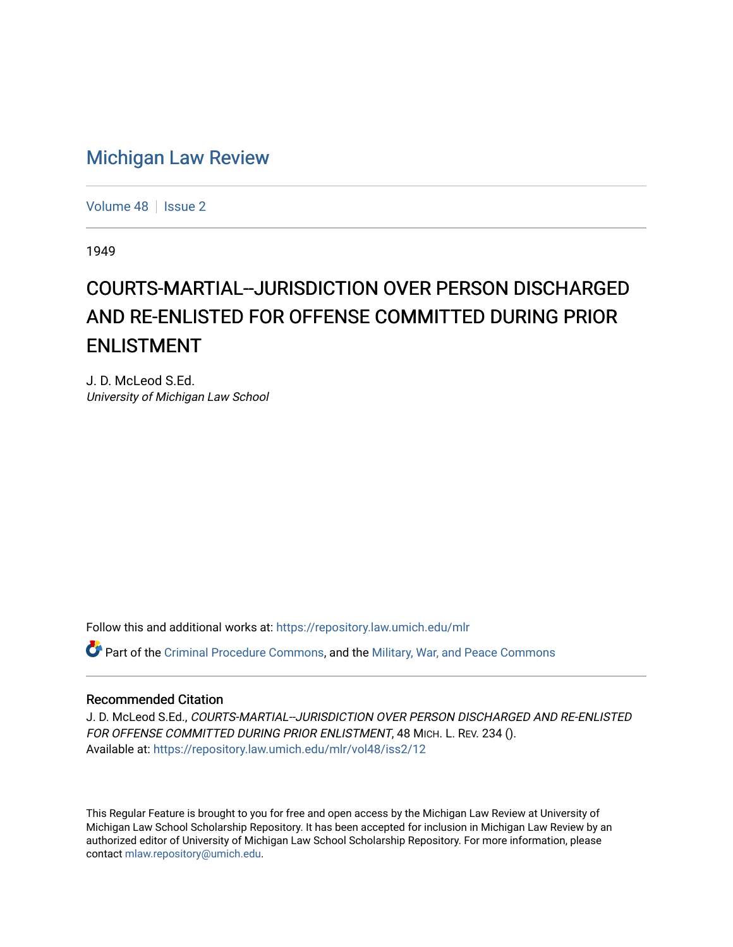## [Michigan Law Review](https://repository.law.umich.edu/mlr)

[Volume 48](https://repository.law.umich.edu/mlr/vol48) | [Issue 2](https://repository.law.umich.edu/mlr/vol48/iss2)

1949

## COURTS-MARTIAL--JURISDICTION OVER PERSON DISCHARGED AND RE-ENLISTED FOR OFFENSE COMMITTED DURING PRIOR ENLISTMENT

J. D. McLeod S.Ed. University of Michigan Law School

Follow this and additional works at: [https://repository.law.umich.edu/mlr](https://repository.law.umich.edu/mlr?utm_source=repository.law.umich.edu%2Fmlr%2Fvol48%2Fiss2%2F12&utm_medium=PDF&utm_campaign=PDFCoverPages) 

 $\bullet$  Part of the [Criminal Procedure Commons,](http://network.bepress.com/hgg/discipline/1073?utm_source=repository.law.umich.edu%2Fmlr%2Fvol48%2Fiss2%2F12&utm_medium=PDF&utm_campaign=PDFCoverPages) and the [Military, War, and Peace Commons](http://network.bepress.com/hgg/discipline/861?utm_source=repository.law.umich.edu%2Fmlr%2Fvol48%2Fiss2%2F12&utm_medium=PDF&utm_campaign=PDFCoverPages)

## Recommended Citation

J. D. McLeod S.Ed., COURTS-MARTIAL--JURISDICTION OVER PERSON DISCHARGED AND RE-ENLISTED FOR OFFENSE COMMITTED DURING PRIOR ENLISTMENT, 48 MICH. L. REV. 234 (). Available at: [https://repository.law.umich.edu/mlr/vol48/iss2/12](https://repository.law.umich.edu/mlr/vol48/iss2/12?utm_source=repository.law.umich.edu%2Fmlr%2Fvol48%2Fiss2%2F12&utm_medium=PDF&utm_campaign=PDFCoverPages) 

This Regular Feature is brought to you for free and open access by the Michigan Law Review at University of Michigan Law School Scholarship Repository. It has been accepted for inclusion in Michigan Law Review by an authorized editor of University of Michigan Law School Scholarship Repository. For more information, please contact [mlaw.repository@umich.edu](mailto:mlaw.repository@umich.edu).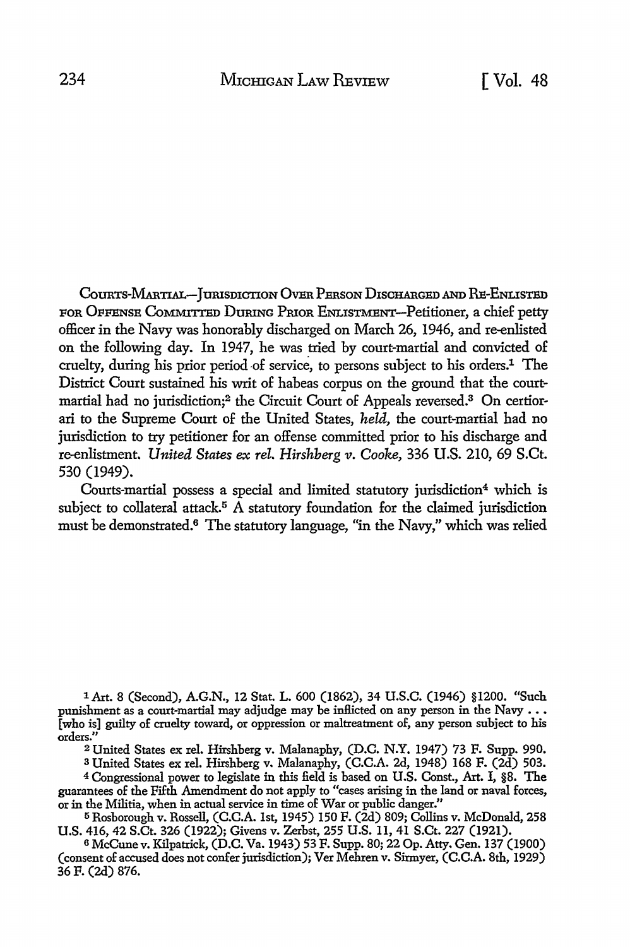COURTS-MARTIAL-JURISDICTION OVER PERSON DISCHARGED AND RE-ENLISTED FOR OFFENSE COMMITTED DURING PRIOR ENLISTMENT-Petitioner, a chief petty officer in the Navy was honorably discharged on March 26, 1946, and re-enlisted on the following day. In 1947, he was tried by court-martial and convicted of cruelty, during his prior period-of service, to persons subject to his orders.1 The District Court sustained his writ of habeas corpus on the ground that the court- martial had no jurisdiction;<sup>2</sup> the Circuit Court of Appeals reversed.<sup>3</sup> On certiorari to the Supreme Court of the United States, *held,* the court-martial had no jurisdiction to try petitioner for an offense committed prior to his discharge and re-enlistment. *United. States ex rel. Hirshberg* v. *Cooke,* 336 U.S. 210, 69 S.Ct. 530 (1949).

Courts-martial possess a special and limited statutory jurisdiction<sup>4</sup> which is subject to collateral attack.<sup>5</sup> A statutory foundation for the claimed jurisdiction must be demonstrated.6 The statutory language, "in the Navy," which was relied

lArt. 8 (Second), A.G.N., 12 Stat. L. 600 (1862), 34 U.S.C. (1946) §1200. "Such punishment as a court-martial may adjudge may be inflicted on any person in the Navy  $\ldots$ [who is] guilty of cruelty toward, or oppression or maltreatment of, any person subject to his orders.''

<sup>2</sup>United States ex rel. Hirshberg v. Malanaphy, (D.C. N.Y. 1947) 73 F. Supp. 990.

s United States ex rel. Hirshberg v. Malanaphy, (C.C.A. 2d, 1948) 168 F. (2d) 503. 4 Congressional power to legislate in this field is based on U.S. Const., Art. I, §8. The guarantees of the Fifth Amendment do not apply to "cases arising in the land or naval forces, or in the Militia, when in actual service in time of War or public danger."

<sup>5</sup>Rosborough v. Rossell, (C.C.A. 1st, 1945) 150 F. (2d) 809; Collins v. McDonald, 258 U.S. 416, 42 S.Ct. 326 (1922); Givens v. Zerbst, 255 U.S. 11, 41 S.Ct. 227 (1921).

<sup>6</sup>McCune v. Kilpatrick, (D.C. Va. 1943) 53 F. Supp. 80; 22 Op. Atty. Gen. 137 (1900) (consent of accused does not confer jurisdiction); Ver Mehren v. Sirmyer, (C.C.A. 8th, 1929) 36 F. (2d) 876.